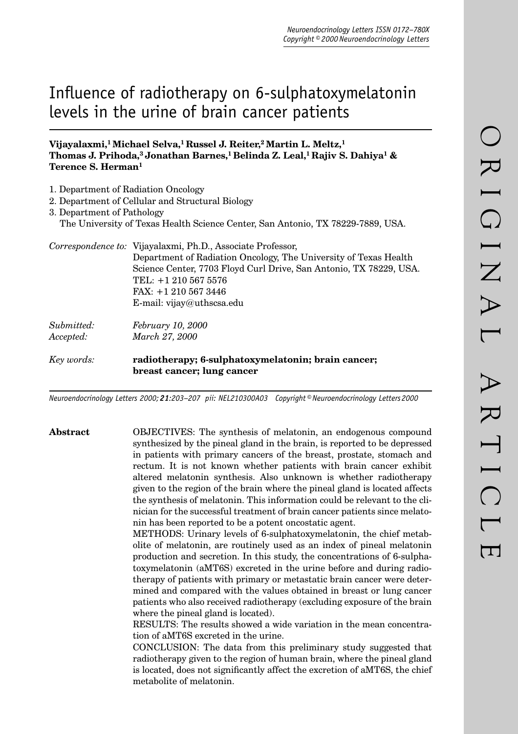# Influence of radiotherapy on 6-sulphatoxymelatonin levels in the urine of brain cancer patients

## **Vijayalaxmi,1 Michael Selva,1 Russel J. Reiter,2 Martin L. Meltz,1 Thomas J. Prihoda,3 Jonathan Barnes,1 Belinda Z. Leal,1 Rajiv S. Dahiya1 & Terence S. Herman1**

1. Department of Radiation Oncology

|                            | 2. Department of Cellular and Structural Biology                                |
|----------------------------|---------------------------------------------------------------------------------|
| 3. Department of Pathology |                                                                                 |
|                            | The University of Texas Health Science Center, San Antonio, TX 78229-7889, USA. |
|                            | Correspondence to: Vijayalaxmi, Ph.D., Associate Professor,                     |
|                            | Department of Radiation Oncology, The University of Texas Health                |
|                            | Science Center, 7703 Floyd Curl Drive, San Antonio, TX 78229, USA.              |
|                            | TEL: +1 210 567 5576                                                            |
|                            | FAX: +1 210 567 3446                                                            |
|                            | E-mail: $vijay@uthscsa.edu$                                                     |
| Submitted:                 | February 10, 2000                                                               |
| Accepted:                  | March 27, 2000                                                                  |
| Key words:                 | radiotherapy; 6-sulphatoxymelatonin; brain cancer;                              |
|                            | breast cancer; lung cancer                                                      |

*Neuroendocrinology Letters 2000; 21:203–207 pii: NEL210300A03 Copyright © Neuroendocrinology Letters 2000*

**Abstract** OBJECTIVES: The synthesis of melatonin, an endogenous compound synthesized by the pineal gland in the brain, is reported to be depressed in patients with primary cancers of the breast, prostate, stomach and rectum. It is not known whether patients with brain cancer exhibit altered melatonin synthesis. Also unknown is whether radiotherapy given to the region of the brain where the pineal gland is located affects the synthesis of melatonin. This information could be relevant to the clinician for the successful treatment of brain cancer patients since melatonin has been reported to be a potent oncostatic agent.

> METHODS: Urinary levels of 6-sulphatoxymelatonin, the chief metabolite of melatonin, are routinely used as an index of pineal melatonin production and secretion. In this study, the concentrations of 6-sulphatoxymelatonin (aMT6S) excreted in the urine before and during radiotherapy of patients with primary or metastatic brain cancer were determined and compared with the values obtained in breast or lung cancer patients who also received radiotherapy (excluding exposure of the brain where the pineal gland is located).

> RESULTS: The results showed a wide variation in the mean concentration of aMT6S excreted in the urine.

> CONCLUSION: The data from this preliminary study suggested that radiotherapy given to the region of human brain, where the pineal gland is located, does not significantly affect the excretion of aMT6S, the chief metabolite of melatonin.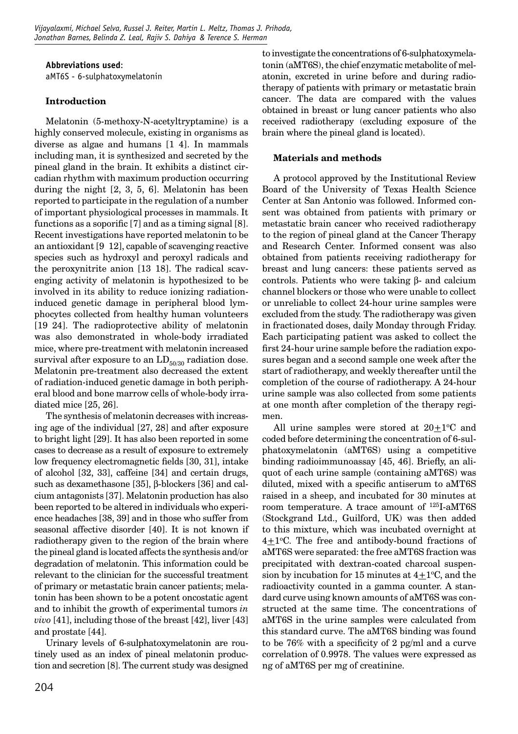### **Abbreviations used**:

aMT6S - 6-sulphatoxymelatonin

# **Introduction**

Melatonin (5-methoxy-N-acetyltryptamine) is a highly conserved molecule, existing in organisms as diverse as algae and humans [1–4]. In mammals including man, it is synthesized and secreted by the pineal gland in the brain. It exhibits a distinct circadian rhythm with maximum production occurring during the night [2, 3, 5, 6]. Melatonin has been reported to participate in the regulation of a number of important physiological processes in mammals. It functions as a soporific  $[7]$  and as a timing signal  $[8]$ . Recent investigations have reported melatonin to be an antioxidant [9–12], capable of scavenging reactive species such as hydroxyl and peroxyl radicals and the peroxynitrite anion [13–18]. The radical scavenging activity of melatonin is hypothesized to be involved in its ability to reduce ionizing radiationinduced genetic damage in peripheral blood lymphocytes collected from healthy human volunteers [19–24]. The radioprotective ability of melatonin was also demonstrated in whole-body irradiated mice, where pre-treatment with melatonin increased survival after exposure to an  $LD_{50/30}$  radiation dose. Melatonin pre-treatment also decreased the extent of radiation-induced genetic damage in both peripheral blood and bone marrow cells of whole-body irradiated mice [25, 26].

The synthesis of melatonin decreases with increasing age of the individual [27, 28] and after exposure to bright light [29]. It has also been reported in some cases to decrease as a result of exposure to extremely low frequency electromagnetic fields [30, 31], intake of alcohol [32, 33], caffeine [34] and certain drugs, such as dexamethasone [35], β-blockers [36] and calcium antagonists [37]. Melatonin production has also been reported to be altered in individuals who experience headaches [38, 39] and in those who suffer from seasonal affective disorder [40]. It is not known if radiotherapy given to the region of the brain where the pineal gland is located affects the synthesis and/or degradation of melatonin. This information could be relevant to the clinician for the successful treatment of primary or metastatic brain cancer patients; melatonin has been shown to be a potent oncostatic agent and to inhibit the growth of experimental tumors *in vivo* [41], including those of the breast [42], liver [43] and prostate [44].

Urinary levels of 6-sulphatoxymelatonin are routinely used as an index of pineal melatonin production and secretion [8]. The current study was designed to investigate the concentrations of 6-sulphatoxymela tonin (aMT6S), the chief enzymatic metabolite of melatonin, excreted in urine before and during radiotherapy of patients with primary or metastatic brain cancer. The data are compared with the values obtained in breast or lung cancer patients who also received radiotherapy (excluding exposure of the brain where the pineal gland is located).

# **Materials and methods**

A protocol approved by the Institutional Review Board of the University of Texas Health Science Center at San Antonio was followed. Informed consent was obtained from patients with primary or metastatic brain cancer who received radiotherapy to the region of pineal gland at the Cancer Therapy and Research Center. Informed consent was also obtained from patients receiving radiotherapy for breast and lung cancers: these patients served as controls. Patients who were taking β- and calcium channel blockers or those who were unable to collect or unreliable to collect 24-hour urine samples were excluded from the study. The radiotherapy was given in fractionated doses, daily Monday through Friday. Each participating patient was asked to collect the first 24-hour urine sample before the radiation exposures began and a second sample one week after the start of radiotherapy, and weekly thereafter until the completion of the course of radiotherapy. A 24-hour urine sample was also collected from some patients at one month after completion of the therapy regimen.

All urine samples were stored at  $20+1$ <sup>o</sup>C and coded before determining the concentration of 6-sulphatoxymelatonin (aMT6S) using a competitive binding radioimmunoassay [45, 46]. Briefly, an aliquot of each urine sample (containing aMT6S) was diluted, mixed with a specific antiserum to aMT6S raised in a sheep, and incubated for 30 minutes at room temperature. A trace amount of 125I-aMT6S (Stockgrand Ltd., Guilford, UK) was then added to this mixture, which was incubated overnight at  $4\pm1$ <sup>o</sup>C. The free and antibody-bound fractions of aMT6S were separated: the free aMT6S fraction was precipitated with dextran-coated charcoal suspension by incubation for 15 minutes at  $4\pm1$ °C, and the radioactivity counted in a gamma counter. A standard curve using known amounts of aMT6S was constructed at the same time. The concentrations of aMT6S in the urine samples were calculated from this standard curve. The aMT6S binding was found to be  $76\%$  with a specificity of 2 pg/ml and a curve correlation of 0.9978. The values were expressed as ng of aMT6S per mg of creatinine.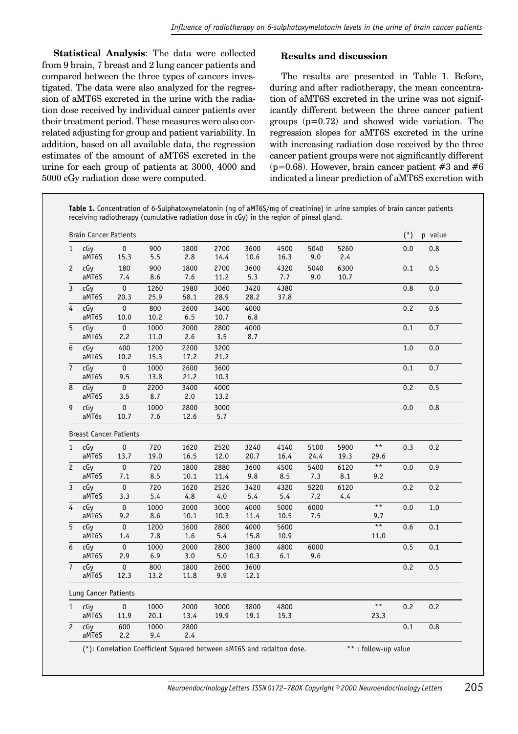**Statistical Analysis**: The data were collected from 9 brain, 7 breast and 2 lung cancer patients and compared between the three types of cancers investigated. The data were also analyzed for the regression of aMT6S excreted in the urine with the radiation dose received by individual cancer patients over their treatment period. These measures were also correlated adjusting for group and patient variability. In addition, based on all available data, the regression estimates of the amount of aMT6S excreted in the urine for each group of patients at 3000, 4000 and 5000 cGy radiation dose were computed.

j

### **Results and discussion**

The results are presented in Table 1. Before, during and after radiotherapy, the mean concentration of aMT6S excreted in the urine was not significantly different between the three cancer patient groups (p=0.72) and showed wide variation. The regression slopes for aMT6S excreted in the urine with increasing radiation dose received by the three cancer patient groups were not significantly different ( $p=0.68$ ). However, brain cancer patient #3 and #6 indicated a linear prediction of aMT6S excretion with

**Table 1.** Concentration of 6-Sulphatoxymelatonin (ng of aMT6S/mg of creatinine) in urine samples of brain cancer patients receiving radiotherapy (cumulative radiation dose in cGy) in the region of pineal gland.

|                                     | <b>Brain Cancer Patients</b>  |                         |             |             |      |              |      |      |      |                 | $(*)$ | p value |
|-------------------------------------|-------------------------------|-------------------------|-------------|-------------|------|--------------|------|------|------|-----------------|-------|---------|
| $\mathbf{1}$                        | cGy                           | $\pmb{0}$               | 900         | 1800        | 2700 | 3600         | 4500 | 5040 | 5260 |                 | 0.0   | 0.8     |
|                                     | aMT6S                         | 15.3                    | 5.5         | 2.8         | 14.4 | 10.6         | 16.3 | 9.0  | 2.4  |                 |       |         |
| $\mathbf{2}^{\prime}$               | cGy                           | 180                     | 900         | 1800        | 2700 | 3600         | 4320 | 5040 | 6300 |                 | 0.1   | 0.5     |
|                                     | aMT6S                         | 7.4                     | 8.6         | $7.6$       | 11.2 | 5.3          | 7.7  | 9.0  | 10.7 |                 |       |         |
| $\overline{3}$                      | cGy                           | $\overline{0}$          | 1260        | 1980        | 3060 | 3420         | 4380 |      |      |                 | 0.8   | 0.0     |
|                                     | aMT6S                         | 20.3                    | 25.9        | 58.1        | 28.9 | 28.2         | 37.8 |      |      |                 |       |         |
| 4                                   | cGy                           | $\pmb{0}$               | 800         | 2600        | 3400 | 4000         |      |      |      |                 | 0.2   | 0.6     |
|                                     | aMT6S                         | 10.0                    | 10.2        | 6.5         | 10.7 | $6.8\,$      |      |      |      |                 |       |         |
| 5                                   | cGy                           | $\pmb{0}$               | 1000        | 2000        | 2800 | 4000         |      |      |      |                 | 0.1   | 0.7     |
|                                     | aMT6S                         | 2.2                     | 11.0        | 2.6         | 3.5  | 8.7          |      |      |      |                 |       |         |
| 6                                   | cGy                           | 400                     | 1200        | 2200        | 3200 |              |      |      |      |                 | 1.0   | 0.0     |
|                                     | aMT6S                         | 10.2                    | 15.3        | 17.2        | 21.2 |              |      |      |      |                 |       |         |
| $\overline{7}$                      | cGy                           | $\pmb{0}$               | 1000        | 2600        | 3600 |              |      |      |      |                 | 0.1   | 0.7     |
|                                     | aMT6S                         | 9.5                     | 13.8        | 21.2        | 10.3 |              |      |      |      |                 |       |         |
| 8                                   | cGy                           | $\pmb{0}$               | 2200        | 3400        | 4000 |              |      |      |      |                 | 0.2   | 0.5     |
|                                     | aMT6S                         | 3.5                     | 8.7         | 2.0         | 13.2 |              |      |      |      |                 |       |         |
| $\overline{9}$                      | cGy                           | $\overline{\mathbf{0}}$ | 1000        | 2800        | 3000 |              |      |      |      |                 | 0.0   | 0.8     |
|                                     | aMT6s                         | 10.7                    | 7.6         | 12.6        | 5.7  |              |      |      |      |                 |       |         |
|                                     | <b>Breast Cancer Patients</b> |                         |             |             |      |              |      |      |      |                 |       |         |
| $\mathbf{1}$                        | cGy                           | $\pmb{0}$               | 720         | 1620        | 2520 | 3240         | 4140 | 5100 | 5900 | $\star \star$   | 0.3   | 0.2     |
|                                     | aMT6S                         | 13.7                    | 19.0        | 16.5        | 12.0 | 20.7         | 16.4 | 24.4 | 19.3 | 29.6            |       |         |
| $\mathbf{2}^{\prime}$               | cGy                           | $\overline{0}$          | 720         | 1800        | 2880 | 3600         | 4500 | 5400 | 6120 | $\overline{**}$ | 0.0   | 0.9     |
|                                     | aMT6S                         | 7.1                     | 8.5         | 10.1        | 11.4 | 9.8          | 8.5  | 7.3  | 8.1  | 9.2             |       |         |
| 3                                   | cGy                           | $\overline{\text{o}}$   | 720         | 1620        | 2520 | 3420         | 4320 | 5220 | 6120 |                 | 0.2   | 0.2     |
|                                     | aMT6S                         | 3.3                     | 5.4         | 4.8         | 4.0  | 5.4          | 5.4  | 7.2  | 4.4  |                 |       |         |
| $\overline{4}$                      | cGy                           | $\pmb{0}$               | 1000        | 2000        | 3000 | 4000         | 5000 | 6000 |      | $\star\,\star$  | 0.0   | 1.0     |
|                                     | aMT6S                         | 9.2                     | 8.6         | 10.1        | 10.3 | 11.4         | 10.5 | 7.5  |      | 9.7             |       |         |
| 5                                   | cGy                           |                         |             |             |      |              |      |      |      |                 |       |         |
|                                     |                               | $\pmb{0}$               | 1200        | 1600        | 2800 |              | 5600 |      |      | $\star\star$    | 0.6   | 0.1     |
|                                     | aMT6S                         | 1.4                     | 7.8         | 1.6         | 5.4  | 4000<br>15.8 | 10.9 |      |      | 11.0            |       |         |
|                                     | cGy                           | $\pmb{0}$               | 1000        | 2000        | 2800 | 3800         | 4800 | 6000 |      |                 | 0.5   | 0.1     |
|                                     | aMT6S                         | 2.9                     | 6.9         | 3.0         | 5.0  | 10.3         | 6.1  | 9.6  |      |                 |       |         |
|                                     | cGy                           | $\pmb{0}$               | 800         | 1800        | 2600 | 3600         |      |      |      |                 | 0.2   | 0.5     |
|                                     | aMT6S                         | 12.3                    | 13.2        | 11.8        | 9.9  | 12.1         |      |      |      |                 |       |         |
|                                     |                               |                         |             |             |      |              |      |      |      |                 |       |         |
|                                     | Lung Cancer Patients          |                         |             |             |      |              |      |      |      | $\star$ $\star$ |       |         |
|                                     | cGy                           | $\pmb{0}$               | 1000        | 2000        | 3000 | 3800         | 4800 |      |      |                 | 0.2   | 0.2     |
| 6<br>$\overline{7}$<br>$\mathbf{1}$ | aMT6S                         | 11.9                    | 20.1        | 13.4        | 19.9 | 19.1         | 15.3 |      |      | 23.3            |       |         |
| $\overline{c}$                      | cGy<br>aMT6S                  | 600<br>2.2              | 1000<br>9.4 | 2800<br>2.4 |      |              |      |      |      |                 | 0.1   | 0.8     |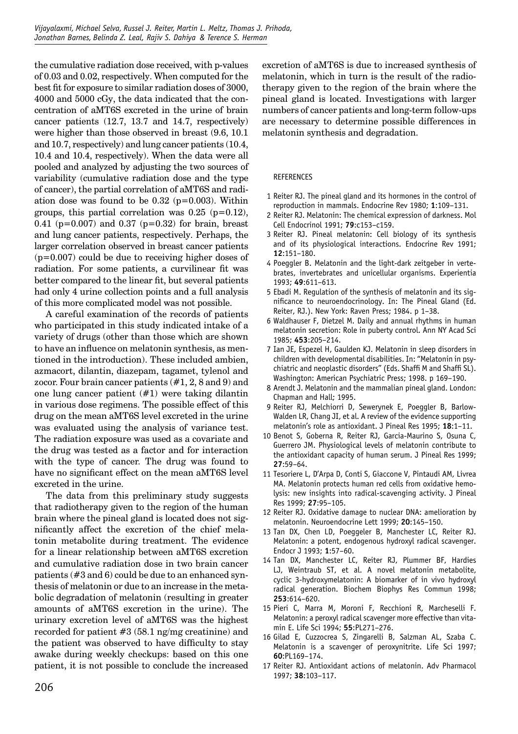the cumulative radiation dose received, with p-values of 0.03 and 0.02, respectively. When computed for the best fit for exposure to similar radiation doses of 3000, 4000 and 5000 cGy, the data indicated that the concentration of aMT6S excreted in the urine of brain cancer patients (12.7, 13.7 and 14.7, respectively) were higher than those observed in breast (9.6, 10.1 and 10.7, respectively) and lung cancer patients (10.4, 10.4 and 10.4, respectively). When the data were all pooled and analyzed by adjusting the two sources of variability (cumulative radiation dose and the type of cancer), the partial correlation of aMT6S and radiation dose was found to be  $0.32$  ( $p=0.003$ ). Within groups, this partial correlation was  $0.25$  (p= $0.12$ ), 0.41 ( $p=0.007$ ) and 0.37 ( $p=0.32$ ) for brain, breast and lung cancer patients, respectively. Perhaps, the larger correlation observed in breast cancer patients  $(p=0.007)$  could be due to receiving higher doses of radiation. For some patients, a curvilinear fit was better compared to the linear fit, but several patients had only 4 urine collection points and a full analysis of this more complicated model was not possible.

A careful examination of the records of patients who participated in this study indicated intake of a variety of drugs (other than those which are shown to have an influence on melatonin synthesis, as mentioned in the introduction). These included ambien, azmacort, dilantin, diazepam, tagamet, tylenol and zocor. Four brain cancer patients (#1, 2, 8 and 9) and one lung cancer patient (#1) were taking dilantin in various dose regimens. The possible effect of this drug on the mean aMT6S level excreted in the urine was evaluated using the analysis of variance test. The radiation exposure was used as a covariate and the drug was tested as a factor and for interaction with the type of cancer. The drug was found to have no significant effect on the mean aMT6S level excreted in the urine.

The data from this preliminary study suggests that radiotherapy given to the region of the human brain where the pineal gland is located does not signifi cantly affect the excretion of the chief melatonin metabolite during treatment. The evidence for a linear relationship between aMT6S excretion and cumulative radiation dose in two brain cancer patients (#3 and 6) could be due to an enhanced synthesis of melatonin or due to an increase in the metabolic degradation of melatonin (resulting in greater amounts of aMT6S excretion in the urine). The urinary excretion level of aMT6S was the highest recorded for patient #3 (58.1 ng/mg creatinine) and the patient was observed to have difficulty to stay awake during weekly checkups: based on this one patient, it is not possible to conclude the increased

excretion of aMT6S is due to increased synthesis of melatonin, which in turn is the result of the radiotherapy given to the region of the brain where the pineal gland is located. Investigations with larger numbers of cancer patients and long-term follow-ups are necessary to determine possible differences in melatonin synthesis and degradation.

#### REFERENCES

- 1 Reiter RJ. The pineal gland and its hormones in the control of reproduction in mammals. Endocrine Rev 1980; **1**:109–131.
- 2 Reiter RJ. Melatonin: The chemical expression of darkness. Mol Cell Endocrinol 1991; **79**:c153–c159.
- 3 Reiter RJ. Pineal melatonin: Cell biology of its synthesis and of its physiological interactions. Endocrine Rev 1991; **12**:151–180.
- 4 Poeggler B. Melatonin and the light-dark zeitgeber in vertebrates, invertebrates and unicellular organisms. Experientia 1993; **49**:611–613.
- 5 Ebadi M. Regulation of the synthesis of melatonin and its significance to neuroendocrinology. In: The Pineal Gland (Ed. Reiter, RJ.). New York: Raven Press; 1984. p 1–38.
- 6 Waldhauser F, Dietzel M. Daily and annual rhythms in human melatonin secretion: Role in puberty control. Ann NY Acad Sci 1985; **453**:205–214.
- 7 Ian JE, Espezel H, Gaulden KJ. Melatonin in sleep disorders in children with developmental disabilities. In: "Melatonin in psychiatric and neoplastic disorders" (Eds. Shaffi M and Shaffi SL). Washington: American Psychiatric Press; 1998. p 169–190.
- 8 Arendt J. Melatonin and the mammalian pineal gland. London: Chapman and Hall; 1995.
- 9 Reiter RJ, Melchiorri D, Sewerynek E, Poeggler B, Barlow-Walden LR, Chang JI, et al. A review of the evidence supporting melatonin's role as antioxidant. J Pineal Res 1995; **18**:1–11.
- 10 Benot S, Goberna R, Reiter RJ, Garcia-Maurino S, Osuna C, Guerrero JM. Physiological levels of melatonin contribute to the antioxidant capacity of human serum. J Pineal Res 1999; **27**:59–64.
- 11 Tesoriere L, D'Arpa D, Conti S, Giaccone V, Pintaudi AM, Livrea MA. Melatonin protects human red cells from oxidative hemolysis: new insights into radical-scavenging activity. J Pineal Res 1999; **27**:95–105.
- 12 Reiter RJ. Oxidative damage to nuclear DNA: amelioration by melatonin. Neuroendocrine Lett 1999; **20**:145–150.
- 13 Tan DX, Chen LD, Poeggeler B, Manchester LC, Reiter RJ. Melatonin: a potent, endogenous hydroxyl radical scavenger. Endocr J 1993; **1**:57–60.
- 14 Tan DX, Manchester LC, Reiter RJ, Plummer BF, Hardies LJ, Weintraub ST, et al. A novel melatonin metabolite, cyclic 3-hydroxymelatonin: A biomarker of in vivo hydroxyl radical generation. Biochem Biophys Res Commun 1998; **253**:614–620.
- 15 Pieri C, Marra M, Moroni F, Recchioni R, Marcheselli F. Melatonin: a peroxyl radical scavenger more effective than vitamin E. Life Sci 1994; **55**:PL271–276.
- 16 Gilad E, Cuzzocrea S, Zingarelli B, Salzman AL, Szaba C. Melatonin is a scavenger of peroxynitrite. Life Sci 1997; **60**:PL169–174.
- 17 Reiter RJ. Antioxidant actions of melatonin. Adv Pharmacol 1997; **38**:103–117.